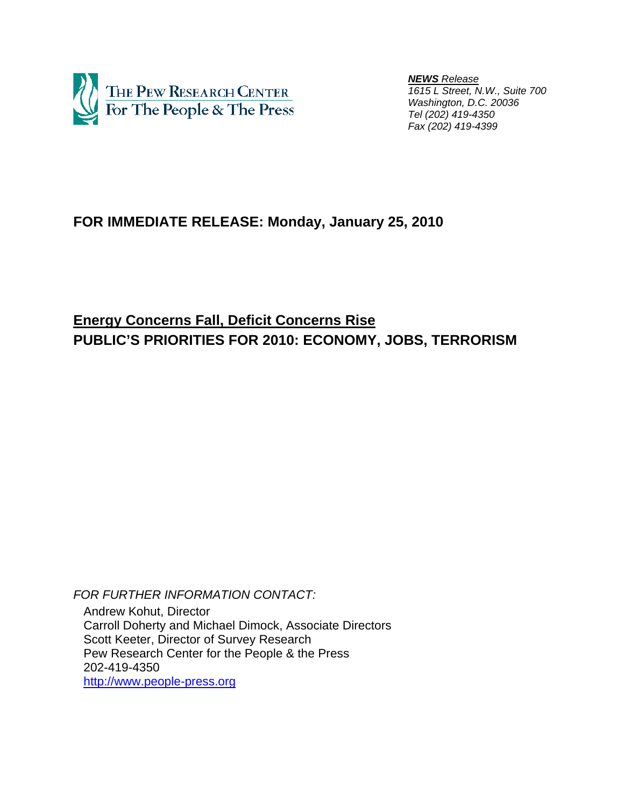

 *NEWS Release 1615 L Street, N.W., Suite 700 Washington, D.C. 20036 Tel (202) 419-4350 Fax (202) 419-4399*

# **FOR IMMEDIATE RELEASE: Monday, January 25, 2010**

**Energy Concerns Fall, Deficit Concerns Rise PUBLIC'S PRIORITIES FOR 2010: ECONOMY, JOBS, TERRORISM** 

*FOR FURTHER INFORMATION CONTACT:*  Andrew Kohut, Director Carroll Doherty and Michael Dimock, Associate Directors Scott Keeter, Director of Survey Research Pew Research Center for the People & the Press 202-419-4350 http://www.people-press.org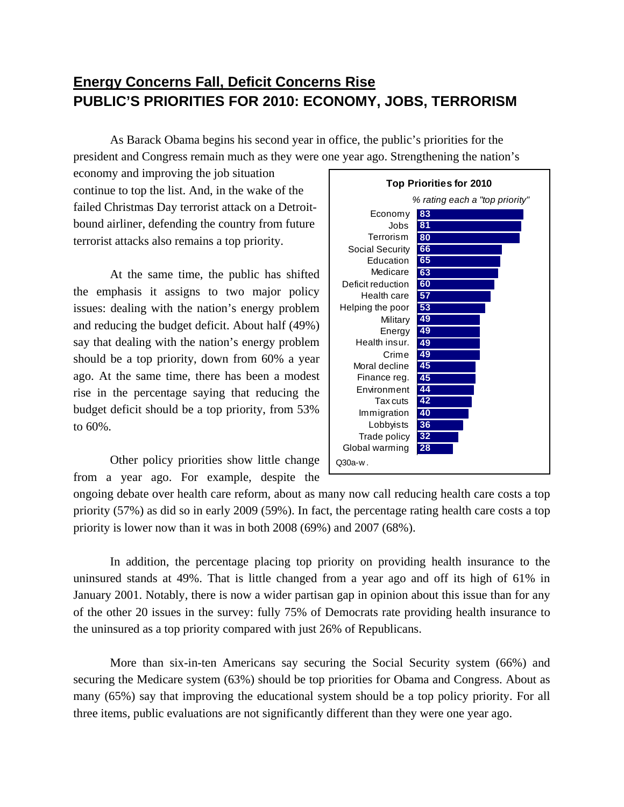# **Energy Concerns Fall, Deficit Concerns Rise PUBLIC'S PRIORITIES FOR 2010: ECONOMY, JOBS, TERRORISM**

As Barack Obama begins his second year in office, the public's priorities for the president and Congress remain much as they were one year ago. Strengthening the nation's

economy and improving the job situation continue to top the list. And, in the wake of the failed Christmas Day terrorist attack on a Detroitbound airliner, defending the country from future terrorist attacks also remains a top priority.

 At the same time, the public has shifted the emphasis it assigns to two major policy issues: dealing with the nation's energy problem and reducing the budget deficit. About half (49%) say that dealing with the nation's energy problem should be a top priority, down from 60% a year ago. At the same time, there has been a modest rise in the percentage saying that reducing the budget deficit should be a top priority, from 53% to 60%.

 Other policy priorities show little change from a year ago. For example, despite the



ongoing debate over health care reform, about as many now call reducing health care costs a top priority (57%) as did so in early 2009 (59%). In fact, the percentage rating health care costs a top priority is lower now than it was in both 2008 (69%) and 2007 (68%).

In addition, the percentage placing top priority on providing health insurance to the uninsured stands at 49%. That is little changed from a year ago and off its high of 61% in January 2001. Notably, there is now a wider partisan gap in opinion about this issue than for any of the other 20 issues in the survey: fully 75% of Democrats rate providing health insurance to the uninsured as a top priority compared with just 26% of Republicans.

 More than six-in-ten Americans say securing the Social Security system (66%) and securing the Medicare system (63%) should be top priorities for Obama and Congress. About as many (65%) say that improving the educational system should be a top policy priority. For all three items, public evaluations are not significantly different than they were one year ago.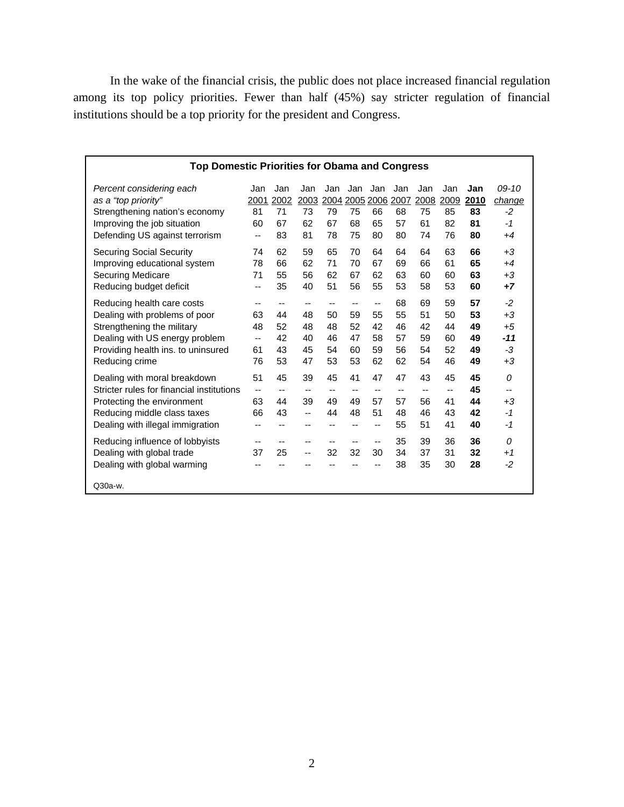In the wake of the financial crisis, the public does not place increased financial regulation among its top policy priorities. Fewer than half (45%) say stricter regulation of financial institutions should be a top priority for the president and Congress.

| <b>Top Domestic Priorities for Obama and Congress</b> |      |      |                          |                          |                          |                |      |      |      |      |         |
|-------------------------------------------------------|------|------|--------------------------|--------------------------|--------------------------|----------------|------|------|------|------|---------|
| Percent considering each                              | Jan  | Jan  | Jan                      | Jan                      | Jan                      | Jan            | Jan  | Jan  | Jan  | Jan  | $09-10$ |
| as a "top priority"                                   | 2001 | 2002 | 2003                     |                          |                          | 2004 2005 2006 | 2007 | 2008 | 2009 | 2010 | change  |
| Strengthening nation's economy                        | 81   | 71   | 73                       | 79                       | 75                       | 66             | 68   | 75   | 85   | 83   | $-2$    |
| Improving the job situation                           | 60   | 67   | 62                       | 67                       | 68                       | 65             | 57   | 61   | 82   | 81   | -1      |
| Defending US against terrorism                        | --   | 83   | 81                       | 78                       | 75                       | 80             | 80   | 74   | 76   | 80   | $+4$    |
| Securing Social Security                              | 74   | 62   | 59                       | 65                       | 70                       | 64             | 64   | 64   | 63   | 66   | $+3$    |
| Improving educational system                          | 78   | 66   | 62                       | 71                       | 70                       | 67             | 69   | 66   | 61   | 65   | $+4$    |
| Securing Medicare                                     | 71   | 55   | 56                       | 62                       | 67                       | 62             | 63   | 60   | 60   | 63   | $+3$    |
| Reducing budget deficit                               | --   | 35   | 40                       | 51                       | 56                       | 55             | 53   | 58   | 53   | 60   | $+7$    |
| Reducing health care costs                            | --   | --   | --                       | --                       | --                       | --             | 68   | 69   | 59   | 57   | $-2$    |
| Dealing with problems of poor                         | 63   | 44   | 48                       | 50                       | 59                       | 55             | 55   | 51   | 50   | 53   | $+3$    |
| Strengthening the military                            | 48   | 52   | 48                       | 48                       | 52                       | 42             | 46   | 42   | 44   | 49   | $+5$    |
| Dealing with US energy problem                        | --   | 42   | 40                       | 46                       | 47                       | 58             | 57   | 59   | 60   | 49   | $-11$   |
| Providing health ins. to uninsured                    | 61   | 43   | 45                       | 54                       | 60                       | 59             | 56   | 54   | 52   | 49   | -3      |
| Reducing crime                                        | 76   | 53   | 47                       | 53                       | 53                       | 62             | 62   | 54   | 46   | 49   | $+3$    |
| Dealing with moral breakdown                          | 51   | 45   | 39                       | 45                       | 41                       | 47             | 47   | 43   | 45   | 45   | 0       |
| Stricter rules for financial institutions             | --   | --   | --                       | $\overline{\phantom{a}}$ | $\overline{\phantom{a}}$ | $-$            | $-$  | --   | --   | 45   | --      |
| Protecting the environment                            | 63   | 44   | 39                       | 49                       | 49                       | 57             | 57   | 56   | 41   | 44   | $+3$    |
| Reducing middle class taxes                           | 66   | 43   | --                       | 44                       | 48                       | 51             | 48   | 46   | 43   | 42   | $-1$    |
| Dealing with illegal immigration                      | --   | --   | --                       | $-$                      | --                       | --             | 55   | 51   | 41   | 40   | -1      |
| Reducing influence of lobbyists                       | --   | --   | $\overline{\phantom{a}}$ | $\overline{\phantom{a}}$ | --                       | --             | 35   | 39   | 36   | 36   | 0       |
| Dealing with global trade                             | 37   | 25   | --                       | 32                       | 32                       | 30             | 34   | 37   | 31   | 32   | $+1$    |
| Dealing with global warming                           |      |      |                          | --                       |                          | --             | 38   | 35   | 30   | 28   | $-2$    |
| Q30a-w.                                               |      |      |                          |                          |                          |                |      |      |      |      |         |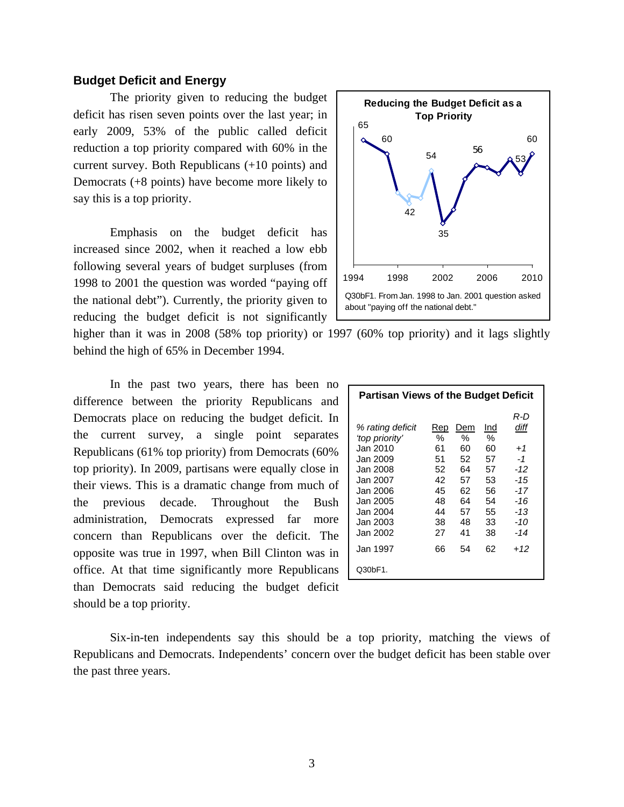### **Budget Deficit and Energy**

 The priority given to reducing the budget deficit has risen seven points over the last year; in early 2009, 53% of the public called deficit reduction a top priority compared with 60% in the current survey. Both Republicans (+10 points) and Democrats (+8 points) have become more likely to say this is a top priority.

 Emphasis on the budget deficit has increased since 2002, when it reached a low ebb following several years of budget surpluses (from 1998 to 2001 the question was worded "paying off the national debt"). Currently, the priority given to reducing the budget deficit is not significantly



higher than it was in 2008 (58% top priority) or 1997 (60% top priority) and it lags slightly behind the high of 65% in December 1994.

In the past two years, there has been no difference between the priority Republicans and Democrats place on reducing the budget deficit. In the current survey, a single point separates Republicans (61% top priority) from Democrats (60% top priority). In 2009, partisans were equally close in their views. This is a dramatic change from much of the previous decade. Throughout the Bush administration, Democrats expressed far more concern than Republicans over the deficit. The opposite was true in 1997, when Bill Clinton was in office. At that time significantly more Republicans than Democrats said reducing the budget deficit should be a top priority.

| <b>Partisan Views of the Budget Deficit</b>                                                                                                                      |                                                                      |                                                                      |                                                                      |                                                                                           |  |  |  |  |
|------------------------------------------------------------------------------------------------------------------------------------------------------------------|----------------------------------------------------------------------|----------------------------------------------------------------------|----------------------------------------------------------------------|-------------------------------------------------------------------------------------------|--|--|--|--|
| % rating deficit<br>'top priority'<br>Jan 2010.<br>Jan 2009<br>Jan 2008.<br>Jan 2007<br>Jan 2006.<br>Jan 2005.<br>Jan 2004<br>Jan 2003<br>Jan 2002.<br>Jan 1997. | Rep<br>%<br>61<br>51<br>52<br>42<br>45<br>48<br>44<br>38<br>27<br>66 | Dem<br>%<br>60<br>52<br>64<br>57<br>62<br>64<br>57<br>48<br>41<br>54 | Ind<br>℅<br>60<br>57<br>57<br>53<br>56<br>54<br>55<br>33<br>38<br>62 | R-D<br>diff<br>$+1$<br>$-1$<br>$-12$<br>-15<br>$-17$<br>-16<br>-13<br>-10<br>$-14$<br>+12 |  |  |  |  |
| Q30bF1.                                                                                                                                                          |                                                                      |                                                                      |                                                                      |                                                                                           |  |  |  |  |

Six-in-ten independents say this should be a top priority, matching the views of Republicans and Democrats. Independents' concern over the budget deficit has been stable over the past three years.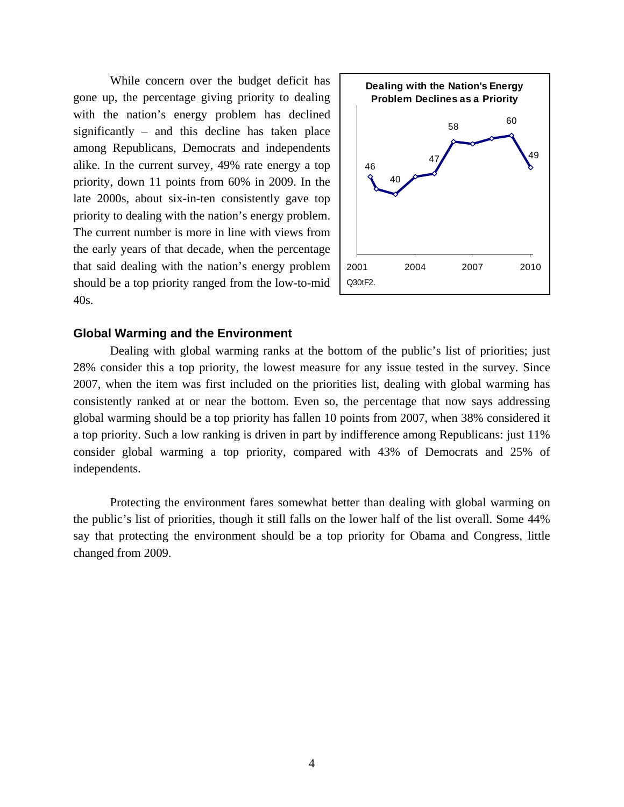While concern over the budget deficit has gone up, the percentage giving priority to dealing with the nation's energy problem has declined significantly – and this decline has taken place among Republicans, Democrats and independents alike. In the current survey, 49% rate energy a top priority, down 11 points from 60% in 2009. In the late 2000s, about six-in-ten consistently gave top priority to dealing with the nation's energy problem. The current number is more in line with views from the early years of that decade, when the percentage that said dealing with the nation's energy problem should be a top priority ranged from the low-to-mid 40s.



#### **Global Warming and the Environment**

 Dealing with global warming ranks at the bottom of the public's list of priorities; just 28% consider this a top priority, the lowest measure for any issue tested in the survey. Since 2007, when the item was first included on the priorities list, dealing with global warming has consistently ranked at or near the bottom. Even so, the percentage that now says addressing global warming should be a top priority has fallen 10 points from 2007, when 38% considered it a top priority. Such a low ranking is driven in part by indifference among Republicans: just 11% consider global warming a top priority, compared with 43% of Democrats and 25% of independents.

 Protecting the environment fares somewhat better than dealing with global warming on the public's list of priorities, though it still falls on the lower half of the list overall. Some 44% say that protecting the environment should be a top priority for Obama and Congress, little changed from 2009.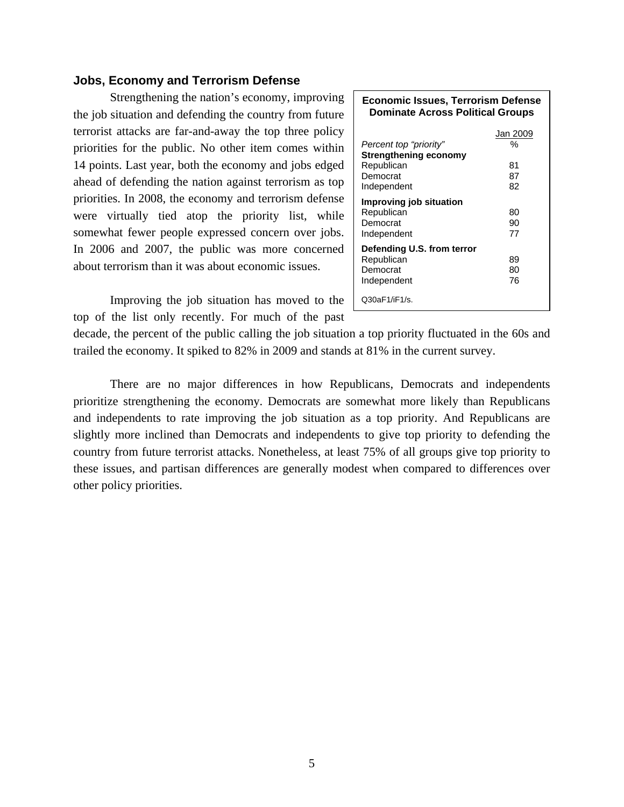### **Jobs, Economy and Terrorism Defense**

 Strengthening the nation's economy, improving the job situation and defending the country from future terrorist attacks are far-and-away the top three policy priorities for the public. No other item comes within 14 points. Last year, both the economy and jobs edged ahead of defending the nation against terrorism as top priorities. In 2008, the economy and terrorism defense were virtually tied atop the priority list, while somewhat fewer people expressed concern over jobs. In 2006 and 2007, the public was more concerned about terrorism than it was about economic issues.

Improving the job situation has moved to the top of the list only recently. For much of the past

| <b>Economic Issues, Terrorism Defense</b><br><b>Dominate Across Political Groups</b>            |                                 |  |  |  |  |  |  |
|-------------------------------------------------------------------------------------------------|---------------------------------|--|--|--|--|--|--|
| Percent top "priority"<br><b>Strengthening economy</b><br>Republican<br>Democrat<br>Independent | Jan 2009<br>%<br>81<br>87<br>82 |  |  |  |  |  |  |
| Improving job situation<br>Republican<br>Democrat<br>Independent                                | 80<br>90<br>77                  |  |  |  |  |  |  |
| Defending U.S. from terror<br>Republican<br>Democrat<br>Independent                             | 89<br>80<br>76                  |  |  |  |  |  |  |
| Q30aF1/iF1/s.                                                                                   |                                 |  |  |  |  |  |  |

decade, the percent of the public calling the job situation a top priority fluctuated in the 60s and trailed the economy. It spiked to 82% in 2009 and stands at 81% in the current survey.

There are no major differences in how Republicans, Democrats and independents prioritize strengthening the economy. Democrats are somewhat more likely than Republicans and independents to rate improving the job situation as a top priority. And Republicans are slightly more inclined than Democrats and independents to give top priority to defending the country from future terrorist attacks. Nonetheless, at least 75% of all groups give top priority to these issues, and partisan differences are generally modest when compared to differences over other policy priorities.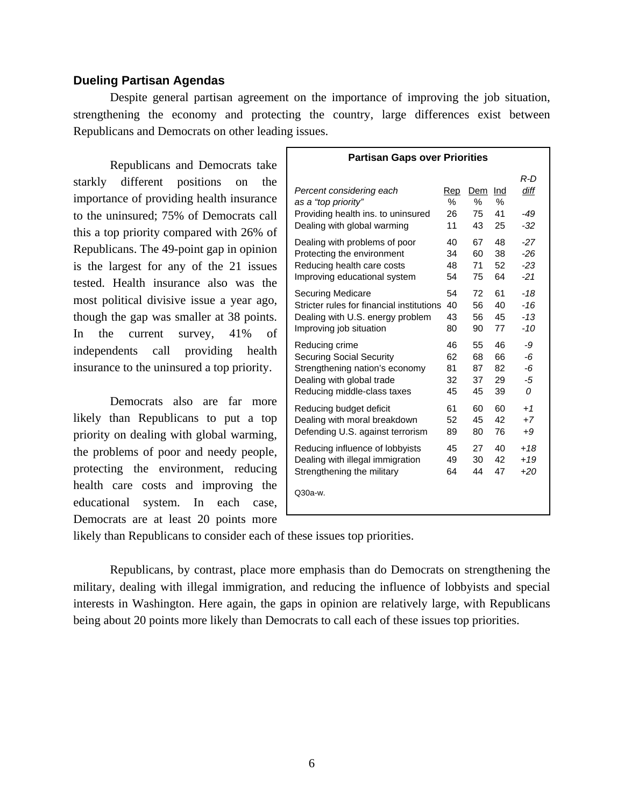### **Dueling Partisan Agendas**

 Despite general partisan agreement on the importance of improving the job situation, strengthening the economy and protecting the country, large differences exist between Republicans and Democrats on other leading issues.

 Republicans and Democrats take starkly different positions on the importance of providing health insurance to the uninsured; 75% of Democrats call this a top priority compared with 26% of Republicans. The 49-point gap in opinion is the largest for any of the 21 issues tested. Health insurance also was the most political divisive issue a year ago, though the gap was smaller at 38 points. In the current survey, 41% of independents call providing health insurance to the uninsured a top priority.

 Democrats also are far more likely than Republicans to put a top priority on dealing with global warming, the problems of poor and needy people, protecting the environment, reducing health care costs and improving the educational system. In each case, Democrats are at least 20 points more

| <b>Partisan Gaps over Priorities</b>      |      |     |     |       |  |  |  |
|-------------------------------------------|------|-----|-----|-------|--|--|--|
| Percent considering each                  | Rep  | Dem | Ind | R-D   |  |  |  |
| as a "top priority"                       | $\%$ | ℅   | %   | diff  |  |  |  |
| Providing health ins. to uninsured        | 26   | 75  | 41  | -49   |  |  |  |
| Dealing with global warming               | 11   | 43  | 25  | -32   |  |  |  |
| Dealing with problems of poor             | 40   | 67  | 48  | $-27$ |  |  |  |
| Protecting the environment                | 34   | 60  | 38  | $-26$ |  |  |  |
| Reducing health care costs                | 48   | 71  | 52  | $-23$ |  |  |  |
| Improving educational system              | 54   | 75  | 64  | $-21$ |  |  |  |
| <b>Securing Medicare</b>                  | 54   | 72  | 61  | $-18$ |  |  |  |
| Stricter rules for financial institutions | 40   | 56  | 40  | $-16$ |  |  |  |
| Dealing with U.S. energy problem          | 43   | 56  | 45  | $-13$ |  |  |  |
| Improving job situation                   | 80   | 90  | 77  | $-10$ |  |  |  |
| Reducing crime                            | 46   | 55  | 46  | -9    |  |  |  |
| Securing Social Security                  | 62   | 68  | 66  | -6    |  |  |  |
| Strengthening nation's economy            | 81   | 87  | 82  | -6    |  |  |  |
| Dealing with global trade                 | 32   | 37  | 29  | -5    |  |  |  |
| Reducing middle-class taxes               | 45   | 45  | 39  | 0     |  |  |  |
| Reducing budget deficit                   | 61   | 60  | 60  | $+1$  |  |  |  |
| Dealing with moral breakdown              | 52   | 45  | 42  | $+7$  |  |  |  |
| Defending U.S. against terrorism          | 89   | 80  | 76  | $+9$  |  |  |  |
| Reducing influence of lobbyists           | 45   | 27  | 40  | $+18$ |  |  |  |
| Dealing with illegal immigration          | 49   | 30  | 42  | $+19$ |  |  |  |
| Strengthening the military                | 64   | 44  | 47  | $+20$ |  |  |  |
| Q30a-w.                                   |      |     |     |       |  |  |  |

likely than Republicans to consider each of these issues top priorities.

 Republicans, by contrast, place more emphasis than do Democrats on strengthening the military, dealing with illegal immigration, and reducing the influence of lobbyists and special interests in Washington. Here again, the gaps in opinion are relatively large, with Republicans being about 20 points more likely than Democrats to call each of these issues top priorities.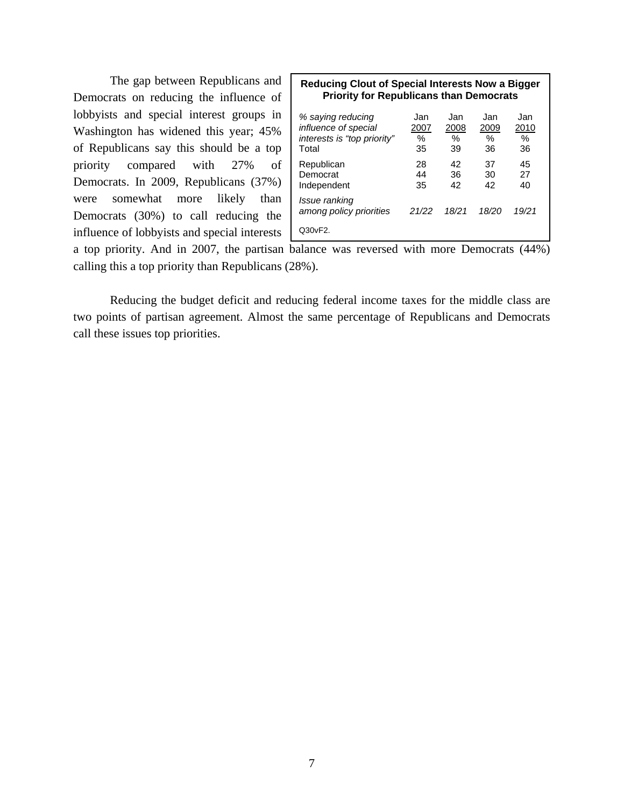The gap between Republicans and Democrats on reducing the influence of lobbyists and special interest groups in Washington has widened this year; 45% of Republicans say this should be a top priority compared with 27% of Democrats. In 2009, Republicans (37%) were somewhat more likely than Democrats (30%) to call reducing the influence of lobbyists and special interests

| Reducing Clout of Special Interests Now a Bigger |
|--------------------------------------------------|
| <b>Priority for Republicans than Democrats</b>   |
|                                                  |

| % saying reducing                        | Jan     | Jan     | Jan        | Jan     |
|------------------------------------------|---------|---------|------------|---------|
| influence of special                     | 2007    | 2008    | 2009       | 2010    |
| interests is "top priority"<br>Total     | %<br>35 | %<br>39 | $\%$<br>36 | %<br>36 |
|                                          |         |         |            |         |
| Republican                               | 28      | 42      | 37         | 45      |
| Democrat                                 | 44      | 36      | 30         | 27      |
| Independent                              | 35      | 42      | 42         | 40      |
| Issue ranking<br>among policy priorities | 21/22   | 18/21   | 18/20      | 19/21   |
| Q30 <sub>vF2</sub> .                     |         |         |            |         |

a top priority. And in 2007, the partisan balance was reversed with more Democrats (44%) calling this a top priority than Republicans (28%).

 Reducing the budget deficit and reducing federal income taxes for the middle class are two points of partisan agreement. Almost the same percentage of Republicans and Democrats call these issues top priorities.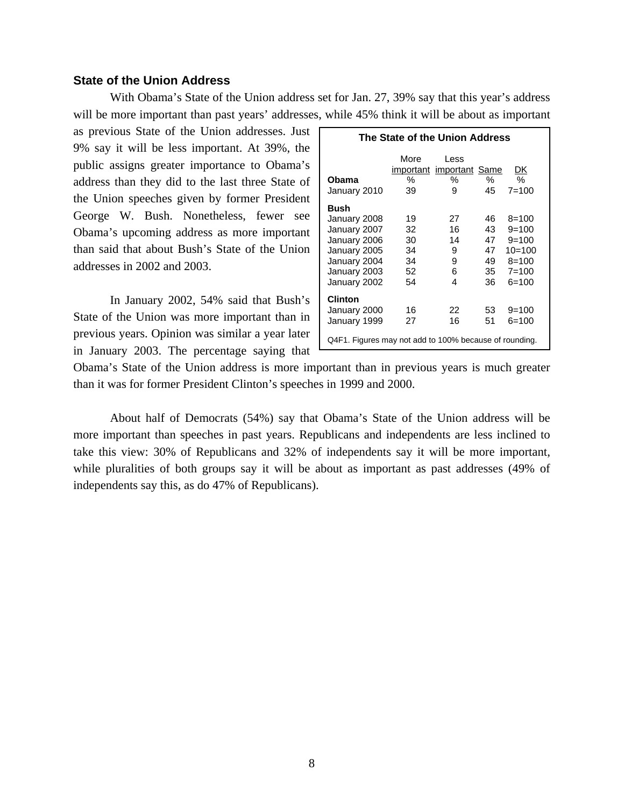### **State of the Union Address**

 With Obama's State of the Union address set for Jan. 27, 39% say that this year's address will be more important than past years' addresses, while 45% think it will be about as important

as previous State of the Union addresses. Just 9% say it will be less important. At 39%, the public assigns greater importance to Obama's address than they did to the last three State of the Union speeches given by former President George W. Bush. Nonetheless, fewer see Obama's upcoming address as more important than said that about Bush's State of the Union addresses in 2002 and 2003.

In January 2002, 54% said that Bush's State of the Union was more important than in previous years. Opinion was similar a year later in January 2003. The percentage saying that

| The State of the Union Address                                                                                       |                                        |                                            |                                        |                                                                                    |  |  |  |  |
|----------------------------------------------------------------------------------------------------------------------|----------------------------------------|--------------------------------------------|----------------------------------------|------------------------------------------------------------------------------------|--|--|--|--|
| Obama<br>January 2010                                                                                                | More<br>℅<br>39                        | Less<br>important important Same<br>%<br>9 | ℅<br>45                                | DK<br>℅<br>$7 = 100$                                                               |  |  |  |  |
| Bush<br>January 2008<br>January 2007<br>January 2006<br>January 2005<br>January 2004<br>January 2003<br>January 2002 | 19<br>32<br>30<br>34<br>34<br>52<br>54 | 27<br>16<br>14<br>9<br>9<br>6<br>4         | 46<br>43<br>47<br>47<br>49<br>35<br>36 | $8 = 100$<br>$9 = 100$<br>$9=100$<br>$10=100$<br>$8 = 100$<br>$7 = 100$<br>$6=100$ |  |  |  |  |
| Clinton<br>January 2000<br>January 1999<br>Q4F1. Figures may not add to 100% because of rounding.                    | 16<br>27                               | 22<br>16                                   | 53<br>51                               | $9=100$<br>$6=100$                                                                 |  |  |  |  |

Obama's State of the Union address is more important than in previous years is much greater than it was for former President Clinton's speeches in 1999 and 2000.

 About half of Democrats (54%) say that Obama's State of the Union address will be more important than speeches in past years. Republicans and independents are less inclined to take this view: 30% of Republicans and 32% of independents say it will be more important, while pluralities of both groups say it will be about as important as past addresses (49% of independents say this, as do 47% of Republicans).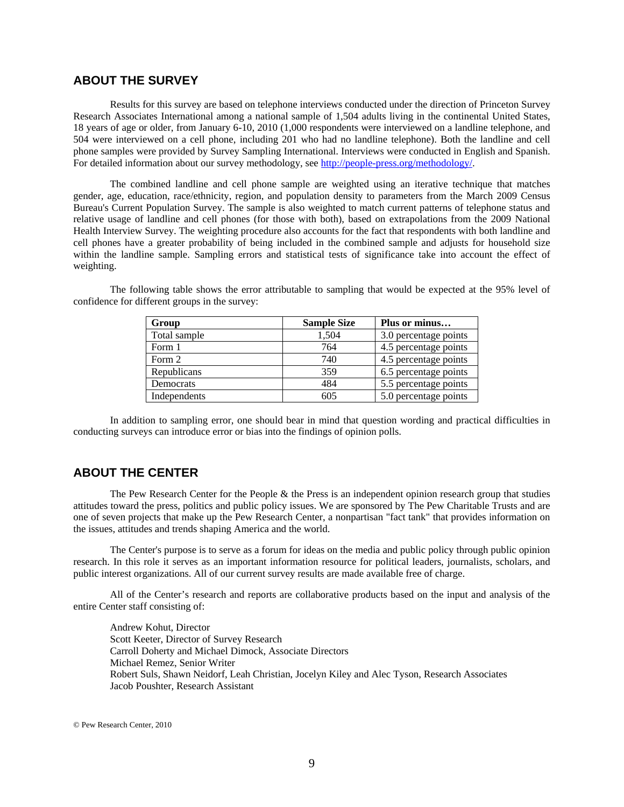### **ABOUT THE SURVEY**

Results for this survey are based on telephone interviews conducted under the direction of Princeton Survey Research Associates International among a national sample of 1,504 adults living in the continental United States, 18 years of age or older, from January 6-10, 2010 (1,000 respondents were interviewed on a landline telephone, and 504 were interviewed on a cell phone, including 201 who had no landline telephone). Both the landline and cell phone samples were provided by Survey Sampling International. Interviews were conducted in English and Spanish. For detailed information about our survey methodology, see http://people-press.org/methodology/.

The combined landline and cell phone sample are weighted using an iterative technique that matches gender, age, education, race/ethnicity, region, and population density to parameters from the March 2009 Census Bureau's Current Population Survey. The sample is also weighted to match current patterns of telephone status and relative usage of landline and cell phones (for those with both), based on extrapolations from the 2009 National Health Interview Survey. The weighting procedure also accounts for the fact that respondents with both landline and cell phones have a greater probability of being included in the combined sample and adjusts for household size within the landline sample. Sampling errors and statistical tests of significance take into account the effect of weighting.

| Group        | <b>Sample Size</b> | Plus or minus         |
|--------------|--------------------|-----------------------|
| Total sample | 1,504              | 3.0 percentage points |
| Form 1       | 764                | 4.5 percentage points |
| Form 2       | 740                | 4.5 percentage points |
| Republicans  | 359                | 6.5 percentage points |
| Democrats    | 484                | 5.5 percentage points |
| Independents | 605                | 5.0 percentage points |

The following table shows the error attributable to sampling that would be expected at the 95% level of confidence for different groups in the survey:

In addition to sampling error, one should bear in mind that question wording and practical difficulties in conducting surveys can introduce error or bias into the findings of opinion polls.

# **ABOUT THE CENTER**

 The Pew Research Center for the People & the Press is an independent opinion research group that studies attitudes toward the press, politics and public policy issues. We are sponsored by The Pew Charitable Trusts and are one of seven projects that make up the Pew Research Center, a nonpartisan "fact tank" that provides information on the issues, attitudes and trends shaping America and the world.

 The Center's purpose is to serve as a forum for ideas on the media and public policy through public opinion research. In this role it serves as an important information resource for political leaders, journalists, scholars, and public interest organizations. All of our current survey results are made available free of charge.

 All of the Center's research and reports are collaborative products based on the input and analysis of the entire Center staff consisting of:

 Andrew Kohut, Director Scott Keeter, Director of Survey Research Carroll Doherty and Michael Dimock, Associate Directors Michael Remez, Senior Writer Robert Suls, Shawn Neidorf, Leah Christian, Jocelyn Kiley and Alec Tyson, Research Associates Jacob Poushter, Research Assistant

© Pew Research Center, 2010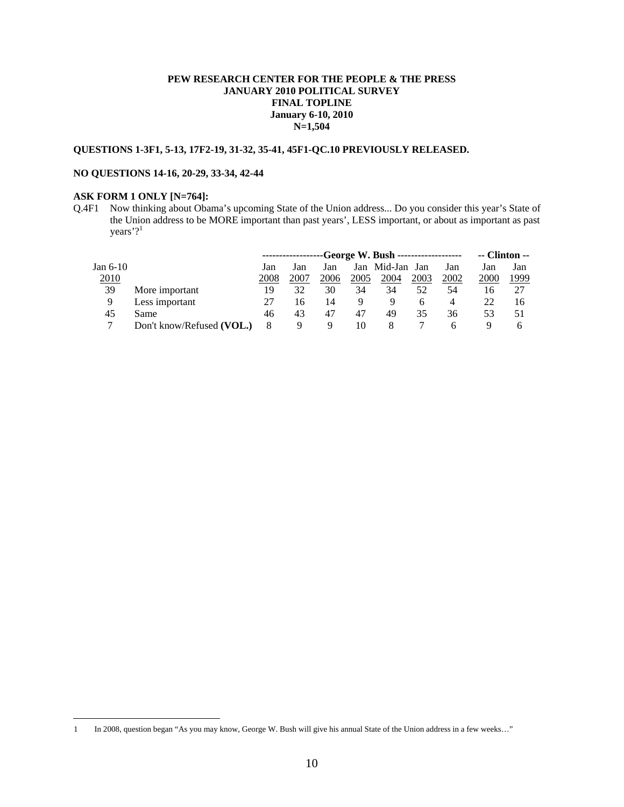#### **PEW RESEARCH CENTER FOR THE PEOPLE & THE PRESS JANUARY 2010 POLITICAL SURVEY FINAL TOPLINE January 6-10, 2010 N=1,504**

#### **QUESTIONS 1-3F1, 5-13, 17F2-19, 31-32, 35-41, 45F1-QC.10 PREVIOUSLY RELEASED.**

#### **NO QUESTIONS 14-16, 20-29, 33-34, 42-44**

### **ASK FORM 1 ONLY [N=764]:**

 $\overline{a}$ 

Q.4F1 Now thinking about Obama's upcoming State of the Union address... Do you consider this year's State of the Union address to be MORE important than past years', LESS important, or about as important as past years'?<sup>1</sup>

|              |                           | -----------------George W. Bush ------------------ |      |      |      |                 |      | -- Clinton -- |      |      |
|--------------|---------------------------|----------------------------------------------------|------|------|------|-----------------|------|---------------|------|------|
| Jan 6-10     |                           | Jan                                                | Jan  | Jan  |      | Jan Mid-Jan Jan |      | Jan           | Jan  | Jan  |
| <u> 2010</u> |                           | 2008                                               | 2007 | 2006 | 2005 | 2004            | 2003 | 2002          | 2000 | 1999 |
| 39           | More important            | 19                                                 | 32   | 30   | 34   | 34              | 52   | 54            | 16   |      |
| 9            | Less important            |                                                    | 16   | 14   | Q    | 9               |      | 4             | 22   | 16   |
| 45           | Same                      | 46                                                 | 43   | 47   | 47   | 49              | 35   | 36            | 53   | 51   |
|              | Don't know/Refused (VOL.) | 8                                                  | Q    | 9    | 10   | 8               |      | h             | ч    | n    |

<sup>1</sup> In 2008, question began "As you may know, George W. Bush will give his annual State of the Union address in a few weeks…"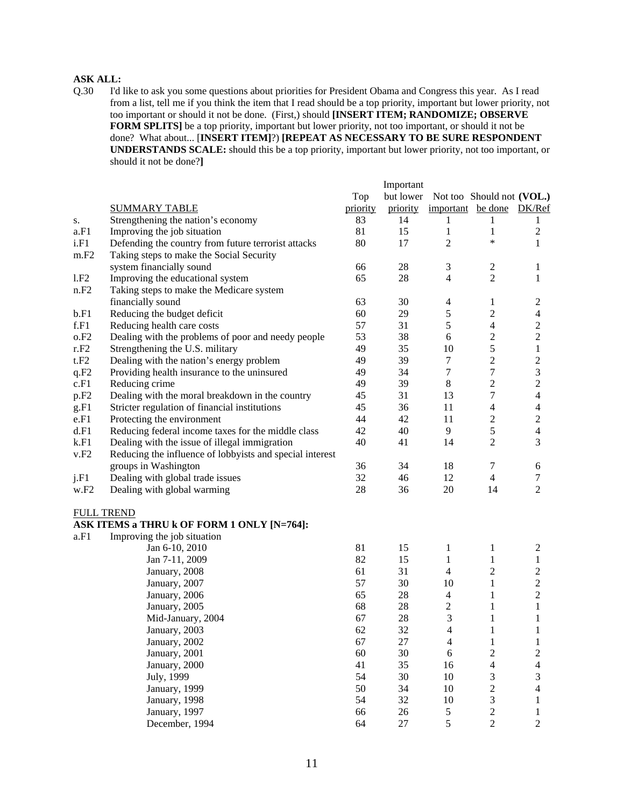### **ASK ALL:**

Q.30 I'd like to ask you some questions about priorities for President Obama and Congress this year. As I read from a list, tell me if you think the item that I read should be a top priority, important but lower priority, not too important or should it not be done. (First,) should **[INSERT ITEM; RANDOMIZE; OBSERVE FORM SPLITS]** be a top priority, important but lower priority, not too important, or should it not be done? What about... [**INSERT ITEM]**?) **[REPEAT AS NECESSARY TO BE SURE RESPONDENT UNDERSTANDS SCALE:** should this be a top priority, important but lower priority, not too important, or should it not be done?**]** 

|                  |                                                          |          | Important |                   |                           |                             |
|------------------|----------------------------------------------------------|----------|-----------|-------------------|---------------------------|-----------------------------|
|                  |                                                          | Top      | but lower |                   | Not too Should not (VOL.) |                             |
|                  | <b>SUMMARY TABLE</b>                                     | priority | priority  | important be done |                           | DK/Ref                      |
| s.               | Strengthening the nation's economy                       | 83       | 14        | 1                 | 1                         | 1                           |
| a.F1             | Improving the job situation                              | 81       | 15        | 1                 | 1                         | $\mathbf{2}$                |
| i.F1             | Defending the country from future terrorist attacks      | 80       | 17        | $\overline{2}$    | $\ast$                    | $\mathbf{1}$                |
| m.F2             | Taking steps to make the Social Security                 |          |           |                   |                           |                             |
|                  | system financially sound                                 | 66       | 28        | 3                 | $\boldsymbol{2}$          | 1                           |
| 1.F2             | Improving the educational system                         | 65       | 28        | $\overline{4}$    | $\overline{c}$            | 1                           |
| n.F2             | Taking steps to make the Medicare system                 |          |           |                   |                           |                             |
|                  | financially sound                                        | 63       | 30        | $\overline{4}$    | $\mathbf{1}$              | $\overline{c}$              |
| b.F1             | Reducing the budget deficit                              | 60       | 29        | $\sqrt{5}$        | $\sqrt{2}$                | $\overline{4}$              |
| f.F1             | Reducing health care costs                               | 57       | 31        | $\sqrt{5}$        | $\overline{4}$            | $\sqrt{2}$                  |
| o.F2             | Dealing with the problems of poor and needy people       | 53       | 38        | 6                 | $\overline{c}$            | $\sqrt{2}$                  |
| r.F2             | Strengthening the U.S. military                          | 49       | 35        | 10                | 5                         | $\mathbf{1}$                |
| t.F2             | Dealing with the nation's energy problem                 | 49       | 39        | 7                 | $\sqrt{2}$                | $\mathbf{2}$                |
| q.F2             | Providing health insurance to the uninsured              | 49       | 34        | $\tau$            | $\boldsymbol{7}$          | $\ensuremath{\mathfrak{Z}}$ |
| c.F1             | Reducing crime                                           | 49       | 39        | $\,8\,$           | $\overline{2}$            | $\sqrt{2}$                  |
| p.F <sub>2</sub> | Dealing with the moral breakdown in the country          | 45       | 31        | 13                | 7                         | $\overline{4}$              |
| g.F1             | Stricter regulation of financial institutions            | 45       | 36        | 11                | $\overline{4}$            | $\overline{4}$              |
| e.F1             | Protecting the environment                               | 44       | 42        | 11                | $\sqrt{2}$                | $\sqrt{2}$                  |
| d.F1             | Reducing federal income taxes for the middle class       | 42       | 40        | 9                 | 5                         | $\overline{4}$              |
| k.F1             | Dealing with the issue of illegal immigration            | 40       | 41        | 14                | $\overline{c}$            | 3                           |
| v.F2             | Reducing the influence of lobbyists and special interest |          |           |                   |                           |                             |
|                  | groups in Washington                                     | 36       | 34        | 18                | 7                         | 6                           |
| j.F1             | Dealing with global trade issues                         | 32       | 46        | 12                | $\overline{4}$            | $\tau$                      |
| w.F2             | Dealing with global warming                              | 28       | 36        | 20                | 14                        | $\overline{2}$              |
|                  | <b>FULL TREND</b>                                        |          |           |                   |                           |                             |
|                  | ASK ITEMS a THRU k OF FORM 1 ONLY [N=764]:               |          |           |                   |                           |                             |
| a.F1             | Improving the job situation                              |          |           |                   |                           |                             |
|                  | Jan 6-10, 2010                                           | 81       | 15        | $\mathbf{1}$      | 1                         | $\overline{c}$              |
|                  | Jan 7-11, 2009                                           | 82       | 15        | $\mathbf{1}$      | 1                         | $\mathbf{1}$                |
|                  | January, 2008                                            | 61       | 31        | $\overline{4}$    | $\boldsymbol{2}$          | $\mathbf{2}$                |
|                  | January, 2007                                            | 57       | 30        | 10                | $\mathbf{1}$              | $\sqrt{2}$                  |
|                  | January, 2006                                            | 65       | $28\,$    | $\overline{4}$    | $\mathbf{1}$              | $\boldsymbol{2}$            |
|                  | January, 2005                                            | 68       | 28        | $\boldsymbol{2}$  | $\mathbf{1}$              | $\mathbf{1}$                |
|                  | Mid-January, 2004                                        | 67       | 28        | 3                 | $\mathbf{1}$              | 1                           |
|                  | January, 2003                                            | 62       | 32        | $\overline{4}$    | $\mathbf{1}$              | $\mathbf{1}$                |
|                  | January, 2002                                            | 67       | 27        | $\overline{4}$    | $\mathbf{1}$              | 1                           |
|                  | January, 2001                                            | 60       | 30        | $\sqrt{6}$        | $\overline{\mathbf{c}}$   | $\boldsymbol{2}$            |
|                  | January, 2000                                            | 41       | 35        | 16                | 4                         | $\overline{4}$              |
|                  | July, 1999                                               | 54       | 30        | $10\,$            | 3                         | $\mathfrak{Z}$              |
|                  | January, 1999                                            | 50       | 34        | $10\,$            | $\overline{c}$            | $\overline{4}$              |
|                  | January, 1998                                            | 54       | 32        | $10\,$            | $\mathfrak{Z}$            | $\mathbf{1}$                |
|                  | January, 1997                                            | 66       | 26        | $\mathfrak{S}$    | $\overline{c}$            | 1                           |
|                  | December, 1994                                           | 64       | $27\,$    | 5                 | $\overline{c}$            | $\overline{2}$              |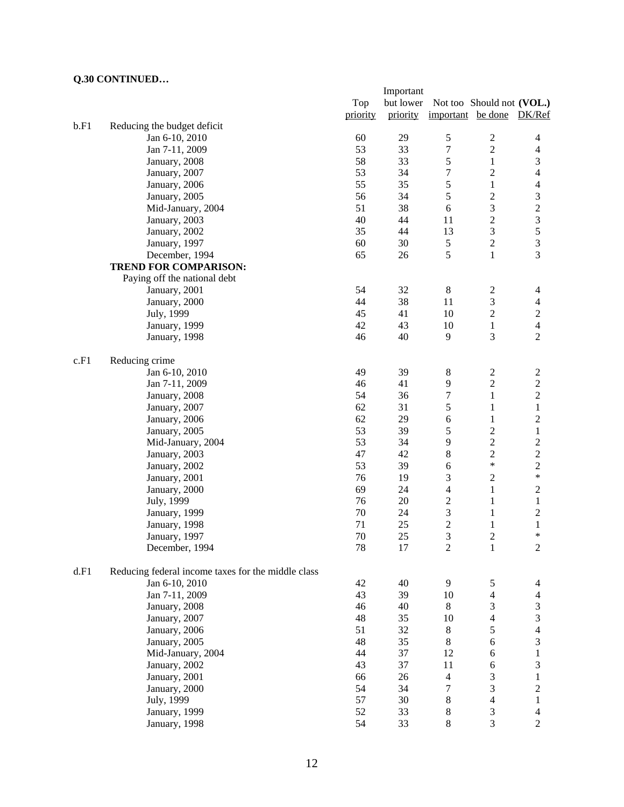|      |                                                    |          | Important |                   |                             |                  |
|------|----------------------------------------------------|----------|-----------|-------------------|-----------------------------|------------------|
|      |                                                    | Top      | but lower |                   | Not too Should not (VOL.)   |                  |
|      |                                                    | priority | priority  | important be done |                             | DK/Ref           |
| b.F1 | Reducing the budget deficit                        |          |           |                   |                             |                  |
|      | Jan 6-10, 2010                                     | 60       | 29        | $\mathfrak s$     | $\sqrt{2}$                  | $\overline{4}$   |
|      | Jan 7-11, 2009                                     | 53       | 33        | 7                 | $\overline{2}$              | $\overline{4}$   |
|      | January, 2008                                      | 58       | 33        | 5                 | $\mathbf{1}$                | $\mathfrak{Z}$   |
|      | January, 2007                                      | 53       | 34        | 7                 | $\overline{2}$              | $\overline{4}$   |
|      | January, 2006                                      | 55       | 35        | 5                 | $\mathbf{1}$                | $\overline{4}$   |
|      | January, 2005                                      | 56       | 34        | 5                 | $\boldsymbol{2}$            | $\mathfrak{Z}$   |
|      | Mid-January, 2004                                  | 51       | 38        | 6                 | 3                           |                  |
|      | January, 2003                                      | 40       | 44        | 11                | $\overline{c}$              | $\frac{2}{3}$    |
|      | January, 2002                                      | 35       | 44        | 13                | $\mathfrak{Z}$              | 5                |
|      | January, 1997                                      | 60       | 30        | 5                 | $\sqrt{2}$                  | $\overline{3}$   |
|      | December, 1994                                     | 65       | 26        | 5                 | $\mathbf{1}$                | 3                |
|      | <b>TREND FOR COMPARISON:</b>                       |          |           |                   |                             |                  |
|      |                                                    |          |           |                   |                             |                  |
|      | Paying off the national debt                       | 54       |           |                   |                             |                  |
|      | January, 2001                                      |          | 32        | $8\,$             | $\overline{c}$              | 4                |
|      | January, 2000                                      | 44       | 38        | 11                | $\mathfrak 3$               | $\overline{4}$   |
|      | July, 1999                                         | 45       | 41        | 10                | $\overline{c}$              | $\overline{c}$   |
|      | January, 1999                                      | 42       | 43        | 10                | $\mathbf{1}$                | $\overline{4}$   |
|      | January, 1998                                      | 46       | 40        | 9                 | 3                           | $\overline{2}$   |
| c.F1 | Reducing crime                                     |          |           |                   |                             |                  |
|      | Jan 6-10, 2010                                     | 49       | 39        | $8\,$             | $\sqrt{2}$                  | $\sqrt{2}$       |
|      | Jan 7-11, 2009                                     | 46       | 41        | 9                 | $\overline{c}$              | $\overline{c}$   |
|      | January, 2008                                      | 54       | 36        | 7                 | $\mathbf{1}$                | $\sqrt{2}$       |
|      | January, 2007                                      | 62       | 31        | 5                 | $\mathbf{1}$                | $\,1$            |
|      | January, 2006                                      | 62       | 29        | 6                 | $\mathbf{1}$                | $\boldsymbol{2}$ |
|      | January, 2005                                      | 53       | 39        | 5                 | $\overline{c}$              | $\mathbf{1}$     |
|      | Mid-January, 2004                                  | 53       | 34        | 9                 | $\sqrt{2}$                  | $\boldsymbol{2}$ |
|      | January, 2003                                      | 47       | 42        | 8                 | $\sqrt{2}$                  | $\overline{c}$   |
|      | January, 2002                                      | 53       | 39        | 6                 | $\ast$                      | $\sqrt{2}$       |
|      | January, 2001                                      | 76       | 19        | 3                 | $\sqrt{2}$                  | $\ast$           |
|      | January, 2000                                      | 69       | 24        | 4                 | $\mathbf{1}$                | $\sqrt{2}$       |
|      | July, 1999                                         | 76       | 20        | $\mathbf{2}$      | $\mathbf{1}$                | $\mathbf{1}$     |
|      | January, 1999                                      | 70       | 24        | 3                 | $\mathbf{1}$                | $\sqrt{2}$       |
|      | January, 1998                                      | 71       | 25        | $\overline{c}$    | $\mathbf{1}$                | $\mathbf{1}$     |
|      | January, 1997                                      | 70       | 25        | 3                 | $\overline{2}$              | *                |
|      | December, 1994                                     | 78       | 17        | $\overline{2}$    | $\mathbf{1}$                | $\overline{2}$   |
|      |                                                    |          |           |                   |                             |                  |
| d.F1 | Reducing federal income taxes for the middle class |          |           |                   |                             |                  |
|      | Jan 6-10, 2010                                     | 42       | 40        | 9                 | 5                           | 4                |
|      | Jan 7-11, 2009                                     | 43       | 39        | 10                | $\overline{4}$              | $\overline{4}$   |
|      | January, 2008                                      | 46       | 40        | 8                 | $\mathfrak{Z}$              | $\mathfrak{Z}$   |
|      | January, 2007                                      | 48       | 35        | 10                | $\overline{4}$              | $\overline{3}$   |
|      | January, 2006                                      | 51       | 32        | $8\,$             | 5                           | $\overline{4}$   |
|      | January, 2005                                      | 48       | 35        | $8\,$             | $\epsilon$                  | 3                |
|      | Mid-January, 2004                                  | 44       | 37        | 12                | 6                           | $\,1$            |
|      | January, 2002                                      | 43       | 37        | 11                | $\sqrt{6}$                  | $\sqrt{3}$       |
|      | January, 2001                                      | 66       | 26        | $\overline{4}$    | 3                           | $\,1$            |
|      | January, 2000                                      | 54       | 34        | 7                 | 3                           | $\overline{c}$   |
|      | July, 1999                                         | 57       | 30        | 8                 | $\overline{4}$              | $\mathbf{1}$     |
|      | January, 1999                                      | 52       | 33        | 8                 | $\ensuremath{\mathfrak{Z}}$ | $\overline{4}$   |
|      | January, 1998                                      | 54       | 33        | $8\,$             | 3                           | $\overline{2}$   |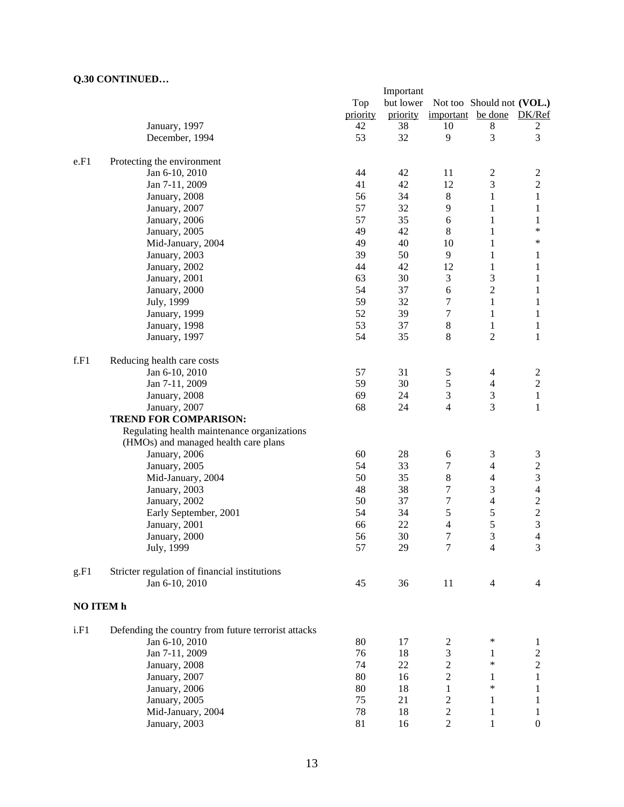|           |                                                     |          | Important |                          |                             |                         |
|-----------|-----------------------------------------------------|----------|-----------|--------------------------|-----------------------------|-------------------------|
|           |                                                     | Top      | but lower |                          | Not too Should not (VOL.)   |                         |
|           |                                                     | priority | priority  | important be done        |                             | DK/Ref                  |
|           | January, 1997                                       | 42       | 38        | 10                       | 8                           | 2                       |
|           | December, 1994                                      | 53       | 32        | 9                        | 3                           | 3                       |
|           |                                                     |          |           |                          |                             |                         |
| e.F1      | Protecting the environment                          |          |           |                          |                             |                         |
|           | Jan 6-10, 2010                                      | 44       | 42        | 11                       | $\boldsymbol{2}$            | $\boldsymbol{2}$        |
|           | Jan 7-11, 2009                                      | 41       | 42        | 12                       | 3                           | $\overline{c}$          |
|           | January, 2008                                       | 56       | 34        | $\,8\,$                  | $\mathbf{1}$                | $\,1$                   |
|           | January, 2007                                       | 57       | 32        | $\overline{9}$           | $\mathbf{1}$                | $\mathbf{1}$            |
|           | January, 2006                                       | 57       | 35        | 6                        | $\mathbf{1}$                | $\mathbf{1}$            |
|           | January, 2005                                       | 49       | 42        | $\,8\,$                  | $\mathbf{1}$                | $\ast$                  |
|           | Mid-January, 2004                                   | 49       | 40        | 10                       | 1                           | ∗                       |
|           | January, 2003                                       | 39       | 50        | 9                        | $\mathbf{1}$                | 1                       |
|           | January, 2002                                       | 44       | 42        | 12                       | $\mathbf{1}$                | 1                       |
|           | January, 2001                                       | 63       | 30        | 3                        | 3                           | 1                       |
|           | January, 2000                                       | 54       | 37        | 6                        | $\overline{c}$              | 1                       |
|           | July, 1999                                          | 59       | 32        | 7                        | $\mathbf{1}$                | 1                       |
|           | January, 1999                                       | 52       | 39        | 7                        | $\mathbf{1}$                | 1                       |
|           | January, 1998                                       | 53       | 37        | $\,8\,$                  | $\mathbf{1}$                | $\mathbf{1}$            |
|           | January, 1997                                       | 54       | 35        | $\,8\,$                  | 2                           | 1                       |
|           |                                                     |          |           |                          |                             |                         |
| f.F1      | Reducing health care costs                          |          |           |                          |                             |                         |
|           | Jan 6-10, 2010                                      | 57       | 31        | 5                        | $\overline{\mathcal{A}}$    | $\overline{c}$          |
|           | Jan 7-11, 2009                                      | 59       | 30        | 5                        | $\overline{\mathbf{4}}$     | $\overline{c}$          |
|           | January, 2008                                       | 69       | 24        | 3                        | $\ensuremath{\mathfrak{Z}}$ | $\mathbf{1}$            |
|           | January, 2007                                       | 68       | 24        | $\overline{\mathcal{L}}$ | 3                           | 1                       |
|           | <b>TREND FOR COMPARISON:</b>                        |          |           |                          |                             |                         |
|           | Regulating health maintenance organizations         |          |           |                          |                             |                         |
|           | (HMOs) and managed health care plans                |          |           |                          |                             |                         |
|           | January, 2006                                       | 60       | 28        | 6                        | 3                           | 3                       |
|           | January, 2005                                       | 54       | 33        | $\tau$                   | $\overline{4}$              | $\sqrt{2}$              |
|           | Mid-January, 2004                                   | 50       | 35        | 8                        | $\overline{4}$              | $\mathfrak{Z}$          |
|           | January, 2003                                       | 48       | 38        | 7                        | 3                           | $\overline{4}$          |
|           | January, 2002                                       | 50       | 37        | $\boldsymbol{7}$         | $\overline{\mathbf{4}}$     | $\overline{\mathbf{c}}$ |
|           | Early September, 2001                               | 54       | 34        | 5                        | 5                           | $\overline{\mathbf{c}}$ |
|           | January, 2001                                       | 66       | 22        | 4                        | 5                           | 3                       |
|           |                                                     | 56       | 30        | 7                        | 3                           | 4                       |
|           | January, 2000                                       |          |           |                          |                             |                         |
|           | July, 1999                                          | 57       | 29        | 7                        | $\overline{4}$              | 3                       |
| g.F1      | Stricter regulation of financial institutions       |          |           |                          |                             |                         |
|           | Jan 6-10, 2010                                      | 45       | 36        | 11                       | 4                           | 4                       |
|           |                                                     |          |           |                          |                             |                         |
| NO ITEM h |                                                     |          |           |                          |                             |                         |
| i.F1      | Defending the country from future terrorist attacks |          |           |                          |                             |                         |
|           | Jan 6-10, 2010                                      | 80       | 17        | $\overline{c}$           | ∗                           | 1                       |
|           | Jan 7-11, 2009                                      | 76       | 18        | 3                        | 1                           | $\boldsymbol{2}$        |
|           | January, 2008                                       | 74       | $22\,$    | $\overline{\mathbf{c}}$  | $\ast$                      | $\boldsymbol{2}$        |
|           | January, 2007                                       | 80       | 16        | $\overline{c}$           | 1                           | 1                       |
|           |                                                     |          |           |                          | $\ast$                      |                         |
|           | January, 2006                                       | 80       | 18        | 1                        |                             | 1                       |
|           | January, 2005                                       | 75       | 21        | 2                        | 1                           | 1                       |
|           | Mid-January, 2004                                   | 78       | 18        | $\overline{\mathbf{c}}$  | $\mathbf{1}$                | 1                       |
|           | January, 2003                                       | 81       | 16        | $\overline{c}$           | 1                           | $\boldsymbol{0}$        |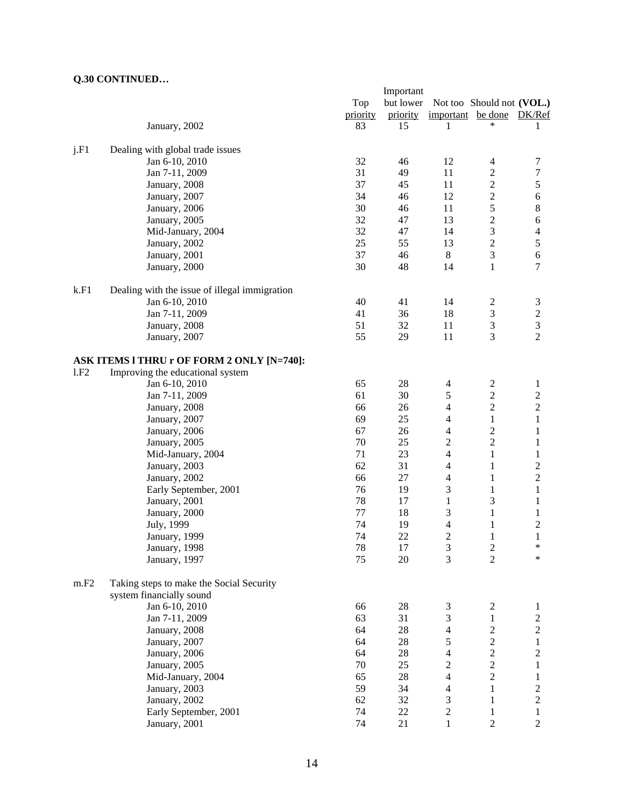|      |                                               | Important |           |                |                           |                  |  |  |  |
|------|-----------------------------------------------|-----------|-----------|----------------|---------------------------|------------------|--|--|--|
|      |                                               | Top       | but lower |                | Not too Should not (VOL.) |                  |  |  |  |
|      |                                               | priority  | priority  | important      | be done                   | DK/Ref           |  |  |  |
|      | January, 2002                                 | 83        | 15        | 1              | *                         | 1                |  |  |  |
|      |                                               |           |           |                |                           |                  |  |  |  |
| j.F1 | Dealing with global trade issues              |           |           |                |                           |                  |  |  |  |
|      | Jan 6-10, 2010                                | 32        | 46        | 12             | 4                         | 7                |  |  |  |
|      | Jan 7-11, 2009                                | 31        | 49        | 11             | $\overline{c}$            | $\boldsymbol{7}$ |  |  |  |
|      | January, 2008                                 | 37        | 45        | 11             | $\boldsymbol{2}$          | $\mathfrak s$    |  |  |  |
|      | January, 2007                                 | 34        | 46        | 12             | $\overline{c}$            | $\sqrt{6}$       |  |  |  |
|      | January, 2006                                 | 30        | 46        | 11             | 5                         | $\,8$            |  |  |  |
|      | January, 2005                                 | 32        | 47        | 13             | $\overline{\mathbf{c}}$   | $\sqrt{6}$       |  |  |  |
|      | Mid-January, 2004                             | 32        | 47        | 14             | 3                         | $\overline{4}$   |  |  |  |
|      | January, 2002                                 | 25        | 55        | 13             | $\overline{c}$            | $\mathfrak s$    |  |  |  |
|      | January, 2001                                 | 37        | 46        | 8              | 3                         | $\sqrt{6}$       |  |  |  |
|      | January, 2000                                 | 30        | 48        | 14             | $\mathbf{1}$              | $\tau$           |  |  |  |
|      |                                               |           |           |                |                           |                  |  |  |  |
| k.F1 | Dealing with the issue of illegal immigration |           |           |                |                           |                  |  |  |  |
|      | Jan 6-10, 2010                                | 40        | 41        | 14             | $\overline{c}$            | 3                |  |  |  |
|      | Jan 7-11, 2009                                | 41        | 36        | 18             | $\mathfrak{Z}$            | $\sqrt{2}$       |  |  |  |
|      | January, 2008                                 | 51        | 32        | 11             | $\mathfrak{Z}$            | 3                |  |  |  |
|      | January, 2007                                 | 55        | 29        | 11             | 3                         | $\overline{2}$   |  |  |  |
|      | ASK ITEMS I THRU r OF FORM 2 ONLY [N=740]:    |           |           |                |                           |                  |  |  |  |
| 1.F2 | Improving the educational system              |           |           |                |                           |                  |  |  |  |
|      | Jan 6-10, 2010                                | 65        | 28        | $\overline{4}$ | $\boldsymbol{2}$          | $\mathbf{1}$     |  |  |  |
|      | Jan 7-11, 2009                                | 61        | 30        | 5              | $\sqrt{2}$                | $\mathbf{2}$     |  |  |  |
|      | January, 2008                                 | 66        | 26        | 4              | $\overline{c}$            | $\mathbf{2}$     |  |  |  |
|      |                                               | 69        | 25        |                |                           |                  |  |  |  |
|      | January, 2007                                 | 67        | 26        | 4              | $\mathbf{1}$              | $\mathbf{1}$     |  |  |  |
|      | January, 2006                                 |           |           | 4              | $\boldsymbol{2}$          | 1                |  |  |  |
|      | January, 2005                                 | 70        | 25        | $\overline{c}$ | $\overline{c}$            | 1                |  |  |  |
|      | Mid-January, 2004                             | 71        | 23        | 4              | $\mathbf{1}$              | $\mathbf{1}$     |  |  |  |
|      | January, 2003                                 | 62        | 31        | 4              | $\mathbf{1}$              | $\mathbf{2}$     |  |  |  |
|      | January, 2002                                 | 66        | 27        | 4              | $\mathbf{1}$              | $\mathbf{2}$     |  |  |  |
|      | Early September, 2001                         | 76        | 19        | 3              | $\mathbf{1}$              | $\mathbf{1}$     |  |  |  |
|      | January, 2001                                 | 78        | 17        | $\mathbf{1}$   | 3                         | $\mathbf{1}$     |  |  |  |
|      | January, 2000                                 | 77        | 18        | 3              | $\mathbf{1}$              | 1                |  |  |  |
|      | July, 1999                                    | 74        | 19        | 4              | $\mathbf{1}$              | $\overline{c}$   |  |  |  |
|      | January, 1999                                 | 74        | 22        | 2              | $\mathbf{1}$              | $\mathbf{1}$     |  |  |  |
|      | January, 1998                                 | 78        | 17        | 3              | $\overline{c}$            | $\ast$           |  |  |  |
|      | January, 1997                                 | 75        | $20\,$    | 3              | $\overline{2}$            | $\ast$           |  |  |  |
| m.F2 | Taking steps to make the Social Security      |           |           |                |                           |                  |  |  |  |
|      | system financially sound                      |           |           |                |                           |                  |  |  |  |
|      | Jan 6-10, 2010                                | 66        | 28        | 3              | $\mathbf{2}$              | $\mathbf{1}$     |  |  |  |
|      | Jan 7-11, 2009                                | 63        | 31        | 3              | $\mathbf{1}$              | $\overline{c}$   |  |  |  |
|      |                                               | 64        | $28\,$    |                |                           |                  |  |  |  |
|      | January, 2008                                 |           |           | 4              | $\overline{c}$            | $\boldsymbol{2}$ |  |  |  |
|      | January, 2007                                 | 64        | 28        | 5              | $\overline{c}$            | $\mathbf{1}$     |  |  |  |
|      | January, 2006                                 | 64        | 28        | 4              | $\overline{c}$            | $\boldsymbol{2}$ |  |  |  |
|      | January, 2005                                 | 70        | 25        | $\overline{c}$ | $\overline{c}$            | $\mathbf{1}$     |  |  |  |
|      | Mid-January, 2004                             | 65        | 28        | 4              | $\overline{2}$            | $\mathbf{1}$     |  |  |  |
|      | January, 2003                                 | 59        | 34        | 4              | $\mathbf{1}$              | $\mathbf{2}$     |  |  |  |
|      | January, 2002                                 | 62        | 32        | 3              | $\mathbf{1}$              | $\mathbf{2}$     |  |  |  |
|      | Early September, 2001                         | 74        | 22        | 2              | $\mathbf{1}$              | $\mathbf{1}$     |  |  |  |
|      | January, 2001                                 | 74        | 21        | 1              | $\sqrt{2}$                | $\overline{c}$   |  |  |  |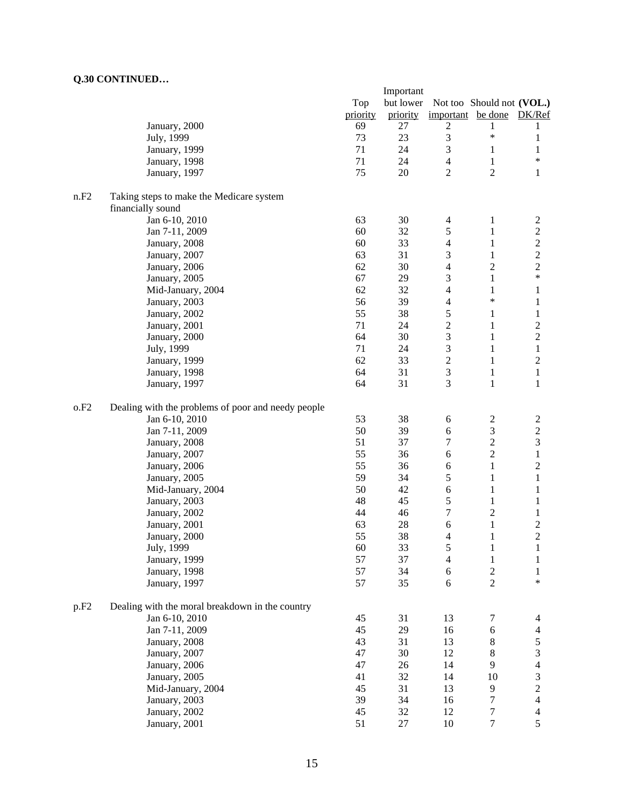|                  |                                                    | Important |                           |                         |                  |                                  |  |
|------------------|----------------------------------------------------|-----------|---------------------------|-------------------------|------------------|----------------------------------|--|
|                  |                                                    | Top       | Not too Should not (VOL.) |                         |                  |                                  |  |
|                  |                                                    | priority  | priority                  | important be done       |                  | DK/Ref                           |  |
|                  | January, 2000                                      | 69        | 27                        | $\overline{c}$          | 1                | 1                                |  |
|                  | July, 1999                                         | 73        | 23                        | 3                       | $\ast$           | 1                                |  |
|                  | January, 1999                                      | 71        | 24                        | 3                       | $\mathbf{1}$     | 1                                |  |
|                  | January, 1998                                      | 71        | 24                        | $\overline{4}$          | $\mathbf{1}$     | $\ast$                           |  |
|                  | January, 1997                                      | 75        | 20                        | $\overline{2}$          | $\overline{2}$   | $\mathbf{1}$                     |  |
| n.F2             |                                                    |           |                           |                         |                  |                                  |  |
|                  | Taking steps to make the Medicare system           |           |                           |                         |                  |                                  |  |
|                  | financially sound<br>Jan 6-10, 2010                | 63        | 30                        | 4                       | $\mathbf{1}$     |                                  |  |
|                  | Jan 7-11, 2009                                     | 60        | 32                        | 5                       |                  | $\overline{c}$<br>$\overline{c}$ |  |
|                  |                                                    | 60        | 33                        |                         | 1                | $\overline{c}$                   |  |
|                  | January, 2008                                      | 63        | 31                        | 4                       | 1                |                                  |  |
|                  | January, 2007                                      |           |                           | 3                       | 1                | $\overline{c}$                   |  |
|                  | January, 2006                                      | 62        | 30                        | 4                       | $\overline{c}$   | $\overline{c}$<br>$\ast$         |  |
|                  | January, 2005                                      | 67        | 29                        | 3                       | $\mathbf{1}$     |                                  |  |
|                  | Mid-January, 2004                                  | 62        | 32                        | 4                       | 1<br>$\ast$      | 1                                |  |
|                  | January, 2003                                      | 56        | 39                        | $\overline{4}$          |                  | 1                                |  |
|                  | January, 2002                                      | 55        | 38                        | 5                       | 1                | $\mathbf{1}$                     |  |
|                  | January, 2001                                      | 71        | 24                        | $\overline{c}$          | 1                | $\overline{c}$                   |  |
|                  | January, 2000                                      | 64        | 30                        | 3                       | $\mathbf{1}$     | $\overline{c}$                   |  |
|                  | July, 1999                                         | 71        | 24                        | $\mathfrak{Z}$          | $\mathbf{1}$     | $\,1$                            |  |
|                  | January, 1999                                      | 62        | 33                        | $\overline{\mathbf{c}}$ | $\mathbf{1}$     | $\boldsymbol{2}$                 |  |
|                  | January, 1998                                      | 64        | 31                        | 3                       | $\mathbf{1}$     | $\mathbf{1}$                     |  |
|                  | January, 1997                                      | 64        | 31                        | 3                       | $\mathbf{1}$     | $\mathbf{1}$                     |  |
| 0.F2             | Dealing with the problems of poor and needy people |           |                           |                         |                  |                                  |  |
|                  | Jan 6-10, 2010                                     | 53        | 38                        | 6                       | 2                | $\overline{c}$                   |  |
|                  | Jan 7-11, 2009                                     | 50        | 39                        | 6                       | $\mathfrak{Z}$   | $\sqrt{2}$                       |  |
|                  | January, 2008                                      | 51        | 37                        | 7                       | $\overline{c}$   | $\overline{3}$                   |  |
|                  | January, 2007                                      | 55        | 36                        | 6                       | $\overline{c}$   | $\,1$                            |  |
|                  | January, 2006                                      | 55        | 36                        | 6                       | $\mathbf{1}$     | $\boldsymbol{2}$                 |  |
|                  | January, 2005                                      | 59        | 34                        | 5                       | 1                | $\mathbf{1}$                     |  |
|                  | Mid-January, 2004                                  | 50        | 42                        | 6                       | 1                | $\mathbf{1}$                     |  |
|                  | January, 2003                                      | 48        | 45                        | 5                       | $\mathbf{1}$     | 1                                |  |
|                  | January, 2002                                      | 44        | 46                        | 7                       | $\overline{2}$   | 1                                |  |
|                  | January, 2001                                      | 63        | 28                        | 6                       | $\mathbf{1}$     | $\overline{c}$                   |  |
|                  | January, 2000                                      | 55        | 38                        | 4                       | 1                | $\overline{c}$                   |  |
|                  | July, 1999                                         | 60        | 33                        | 5                       | 1                | 1                                |  |
|                  | January, 1999                                      | 57        | 37                        | $\overline{4}$          | $\mathbf{1}$     | 1                                |  |
|                  | January, 1998                                      | 57        | 34                        | 6                       | $\sqrt{2}$       | $\mathbf{1}$                     |  |
|                  | January, 1997                                      | 57        | 35                        | 6                       | $\overline{2}$   | $\ast$                           |  |
|                  |                                                    |           |                           |                         |                  |                                  |  |
| p.F <sub>2</sub> | Dealing with the moral breakdown in the country    |           |                           |                         |                  |                                  |  |
|                  | Jan 6-10, 2010                                     | 45        | 31                        | 13                      | $\tau$           | $\overline{4}$                   |  |
|                  | Jan 7-11, 2009                                     | 45        | 29                        | 16                      | $\epsilon$       | $\overline{\mathcal{L}}$         |  |
|                  | January, 2008                                      | 43        | 31                        | 13                      | $8\,$            | 5                                |  |
|                  | January, 2007                                      | 47        | 30                        | 12                      | 8                | 3                                |  |
|                  | January, 2006                                      | 47        | 26                        | 14                      | 9                | $\overline{4}$                   |  |
|                  | January, 2005                                      | 41        | 32                        | 14                      | 10               | 3                                |  |
|                  | Mid-January, 2004                                  | 45        | 31                        | 13                      | 9                | $\overline{c}$                   |  |
|                  | January, 2003                                      | 39        | 34                        | 16                      | 7                | $\overline{4}$                   |  |
|                  | January, 2002                                      | 45        | 32                        | 12                      | 7                | $\overline{\mathcal{A}}$         |  |
|                  | January, 2001                                      | 51        | 27                        | 10                      | $\boldsymbol{7}$ | 5                                |  |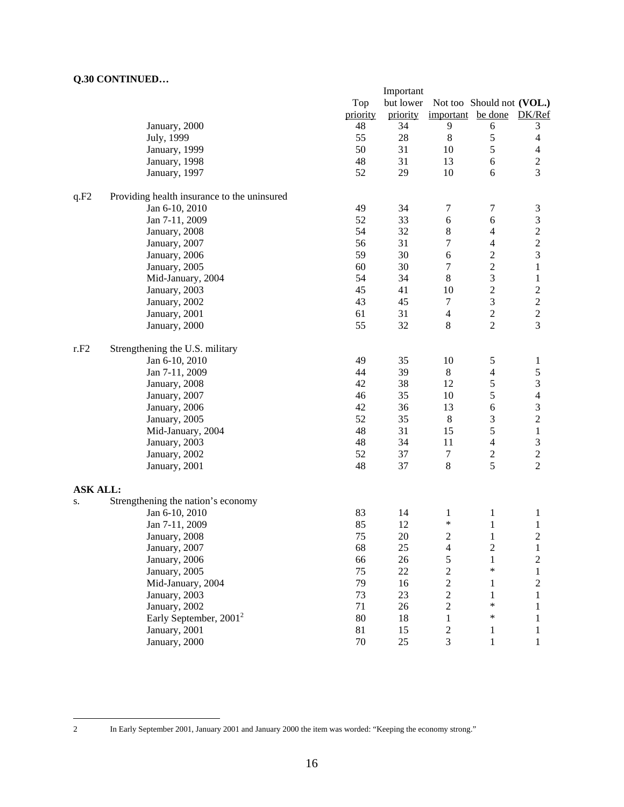|                 |                                             | Important |                                        |                   |                         |                          |  |  |
|-----------------|---------------------------------------------|-----------|----------------------------------------|-------------------|-------------------------|--------------------------|--|--|
|                 |                                             | Top       | but lower<br>Not too Should not (VOL.) |                   |                         |                          |  |  |
|                 |                                             | priority  | priority                               | important be done |                         | DK/Ref                   |  |  |
|                 | January, 2000                               | 48        | 34                                     | 9                 | 6                       | 3                        |  |  |
|                 | July, 1999                                  | 55        | 28                                     | $\,8$             | 5                       | $\overline{4}$           |  |  |
|                 | January, 1999                               | 50        | 31                                     | 10                | 5                       | $\overline{4}$           |  |  |
|                 | January, 1998                               | 48        | 31                                     | 13                | $\sqrt{6}$              | $\overline{c}$           |  |  |
|                 | January, 1997                               | 52        | 29                                     | 10                | 6                       | $\overline{3}$           |  |  |
| q.F2            | Providing health insurance to the uninsured |           |                                        |                   |                         |                          |  |  |
|                 | Jan 6-10, 2010                              | 49        | 34                                     | 7                 | 7                       | $\mathfrak{Z}$           |  |  |
|                 | Jan 7-11, 2009                              | 52        | 33                                     | 6                 | 6                       | $\mathfrak{Z}$           |  |  |
|                 | January, 2008                               | 54        | 32                                     | 8                 | $\overline{4}$          | $\overline{\mathbf{c}}$  |  |  |
|                 | January, 2007                               | 56        | 31                                     | 7                 | $\overline{4}$          | $\overline{\mathbf{c}}$  |  |  |
|                 | January, 2006                               | 59        | 30                                     | 6                 | $\sqrt{2}$              | 3                        |  |  |
|                 | January, 2005                               | 60        | 30                                     | $\tau$            | $\sqrt{2}$              | $\mathbf{1}$             |  |  |
|                 | Mid-January, 2004                           | 54        | 34                                     | $\,8\,$           | $\overline{\mathbf{3}}$ | $\mathbf{1}$             |  |  |
|                 | January, 2003                               | 45        | 41                                     | 10                | $\overline{c}$          | $\overline{\mathbf{c}}$  |  |  |
|                 | January, 2002                               | 43        | 45                                     | $\boldsymbol{7}$  | 3                       | $\frac{2}{2}$            |  |  |
|                 | January, 2001                               | 61        | 31                                     | $\overline{4}$    | $\overline{c}$          |                          |  |  |
|                 | January, 2000                               | 55        | 32                                     | 8                 | $\overline{2}$          | $\overline{3}$           |  |  |
| r.F2            | Strengthening the U.S. military             |           |                                        |                   |                         |                          |  |  |
|                 | Jan 6-10, 2010                              | 49        | 35                                     | 10                | 5                       | $\mathbf{1}$             |  |  |
|                 | Jan 7-11, 2009                              | 44        | 39                                     | $8\,$             | 4                       | 5                        |  |  |
|                 | January, 2008                               | 42        | 38                                     | 12                | 5                       | $\mathfrak{Z}$           |  |  |
|                 | January, 2007                               | 46        | 35                                     | 10                | 5                       | $\overline{\mathcal{L}}$ |  |  |
|                 | January, 2006                               | 42        | 36                                     | 13                | $\epsilon$              | 3                        |  |  |
|                 | January, 2005                               | 52        | 35                                     | $\,8\,$           | 3                       | $\overline{\mathbf{c}}$  |  |  |
|                 | Mid-January, 2004                           | 48        | 31                                     | 15                | 5                       | $\,1$                    |  |  |
|                 | January, 2003                               | 48        | 34                                     | 11                | $\overline{4}$          | 3                        |  |  |
|                 | January, 2002                               | 52        | 37                                     | $\tau$            | $rac{2}{5}$             | $\frac{2}{2}$            |  |  |
|                 | January, 2001                               | 48        | 37                                     | $\,8\,$           |                         |                          |  |  |
| <b>ASK ALL:</b> |                                             |           |                                        |                   |                         |                          |  |  |
| S.              | Strengthening the nation's economy          |           |                                        |                   |                         |                          |  |  |
|                 | Jan 6-10, 2010                              | 83        | 14                                     | $\mathbf{1}$      | $\mathbf{1}$            | $\mathbf{1}$             |  |  |
|                 | Jan 7-11, 2009                              | 85        | 12                                     | $\ast$            | $\mathbf{1}$            | $\mathbf{1}$             |  |  |
|                 | January, 2008                               | 75        | 20                                     | 2                 | $\mathbf{1}$            | $\overline{2}$           |  |  |
|                 | January, 2007                               | 68        | 25                                     | $\overline{4}$    | 2                       | 1                        |  |  |
|                 | January, 2006                               | 66        | 26                                     | 5                 | $\mathbf{1}$            | $\overline{c}$           |  |  |
|                 | January, 2005                               | 75        | 22                                     | $\overline{c}$    | $\ast$                  | $\mathbf{1}$             |  |  |
|                 | Mid-January, 2004                           | 79        | 16                                     | $\overline{c}$    | $\mathbf{1}$            | $\mathbf{2}$             |  |  |
|                 | January, 2003                               | 73        | 23                                     | $\overline{c}$    | $\mathbf{1}$            | 1                        |  |  |
|                 | January, 2002                               | 71        | 26                                     | $\boldsymbol{2}$  | $\ast$                  | 1                        |  |  |
|                 | Early September, 2001 <sup>2</sup>          | 80        | 18                                     | $\mathbf{1}$      | $\ast$                  | $\mathbf{1}$             |  |  |
|                 | January, 2001                               | 81        | 15                                     | $\sqrt{2}$        | $\mathbf{1}$            | $\mathbf{1}$             |  |  |
|                 | January, 2000                               | 70        | $25\,$                                 | 3                 | $\mathbf{1}$            | $\mathbf{1}$             |  |  |

 $\overline{c}$ 

<sup>2</sup> In Early September 2001, January 2001 and January 2000 the item was worded: "Keeping the economy strong."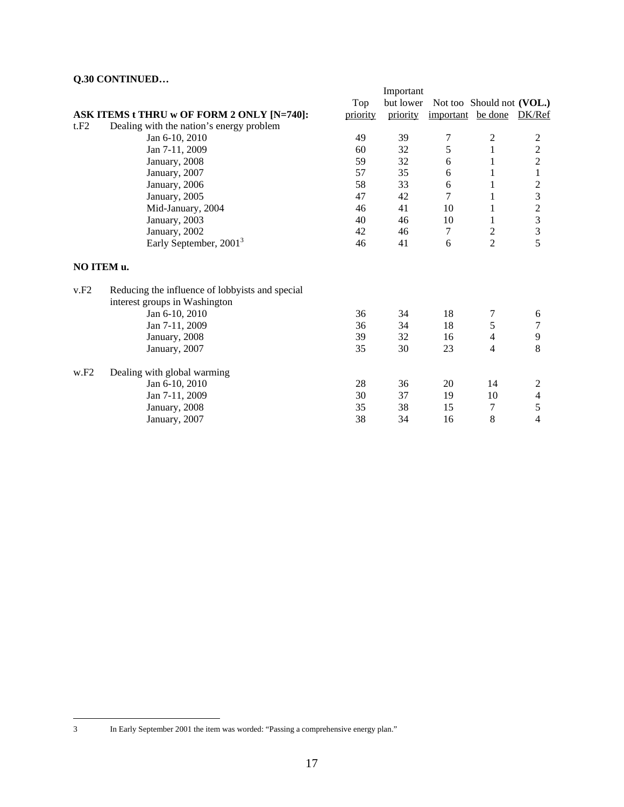|            |                                                 | Important |           |                   |                           |                         |  |
|------------|-------------------------------------------------|-----------|-----------|-------------------|---------------------------|-------------------------|--|
|            |                                                 | Top       | but lower |                   | Not too Should not (VOL.) |                         |  |
|            | ASK ITEMS t THRU w OF FORM 2 ONLY [N=740]:      | priority  | priority  | important be done |                           | DK/Ref                  |  |
| t.F2       | Dealing with the nation's energy problem        |           |           |                   |                           |                         |  |
|            | Jan 6-10, 2010                                  | 49        | 39        | 7                 | 2                         | 2                       |  |
|            | Jan 7-11, 2009                                  | 60        | 32        | 5                 | $\mathbf{1}$              |                         |  |
|            | January, 2008                                   | 59        | 32        | 6                 | 1                         | $\frac{2}{2}$           |  |
|            | January, 2007                                   | 57        | 35        | 6                 | 1                         | $\mathbf{1}$            |  |
|            | January, 2006                                   | 58        | 33        | 6                 | 1                         | $\overline{c}$          |  |
|            | January, 2005                                   | 47        | 42        | 7                 | 1                         | 3                       |  |
|            | Mid-January, 2004                               | 46        | 41        | 10                | 1                         |                         |  |
|            | January, 2003                                   | 40        | 46        | 10                | 1                         | $\frac{2}{3}$           |  |
|            | January, 2002                                   | 42        | 46        | $\tau$            | $\overline{c}$            | $\overline{\mathbf{3}}$ |  |
|            | Early September, 2001 <sup>3</sup>              | 46        | 41        | 6                 | $\overline{2}$            | $\overline{5}$          |  |
| NO ITEM u. |                                                 |           |           |                   |                           |                         |  |
| v.F2       | Reducing the influence of lobbyists and special |           |           |                   |                           |                         |  |
|            | interest groups in Washington                   |           |           |                   |                           |                         |  |
|            | Jan 6-10, 2010                                  | 36        | 34        | 18                | 7                         | 6                       |  |
|            | Jan 7-11, 2009                                  | 36        | 34        | 18                | 5                         | $\tau$                  |  |
|            | January, 2008                                   | 39        | 32        | 16                | 4                         | $\mathbf{9}$            |  |
|            | January, 2007                                   | 35        | 30        | 23                | 4                         | 8                       |  |
| W.F2       | Dealing with global warming                     |           |           |                   |                           |                         |  |
|            | Jan 6-10, 2010                                  | 28        | 36        | 20                | 14                        | $\overline{c}$          |  |
|            | Jan 7-11, 2009                                  | 30        | 37        | 19                | 10                        | $\overline{\mathbf{4}}$ |  |
|            | January, 2008                                   | 35        | 38        | 15                | 7                         | 5                       |  |
|            | January, 2007                                   | 38        | 34        | 16                | 8                         | $\overline{4}$          |  |

 $\overline{3}$ 

In Early September 2001 the item was worded: "Passing a comprehensive energy plan."